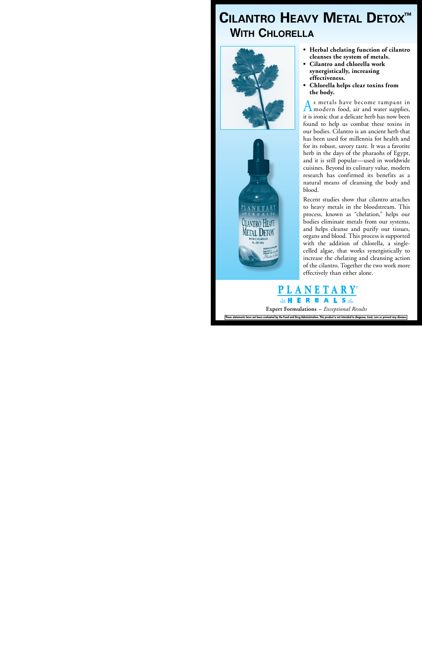# **CILANTRO HEAVY METAL DETOX With Chlorella**





- **• Herbal chelating function of cilantro cleanses the system of metals.**
- **• Cilantro and chlorella work synergistically, increasing effectiveness.**
- **• Chlorella helps clear toxins from the body.**

As metals have become rampant in modern food, air and water supplies, it is ironic that a delicate herb has now been found to help us combat these toxins in our bodies. Cilantro is an ancient herb that has been used for millennia for health and for its robust, savory taste. It was a favorite herb in the days of the pharaohs of Egypt, and it is still popular—used in worldwide cuisines. Beyond its culinary value, modern research has confirmed its benefits as a natural means of cleansing the body and blood.

Recent studies show that cilantro attaches to heavy metals in the bloodstream. This process, known as "chelation," helps our bodies eliminate metals from our systems, and helps cleanse and purify our tissues, organs and blood. This process is supported with the addition of chlorella, a singlecelled algae, that works synergistically to increase the chelating and cleansing action of the cilantro. Together the two work more effectively than either alone.



**Expert Formulations** *– Exceptional Results*